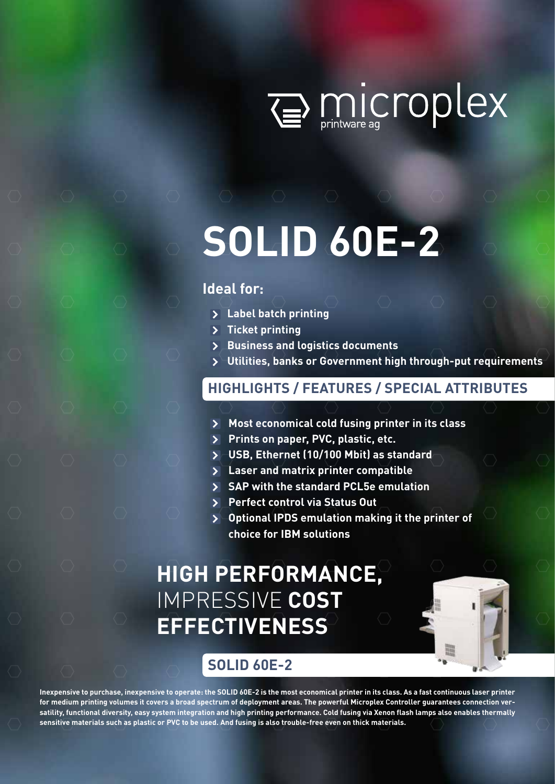

# **SOLID 60E-2**

# **Ideal for:**

- **Label batch printing**
- **Ticket printing**
- **Business and logistics documents**
- **Utilities, banks or Government high through-put requirements**

# **HIGHLIGHTS / FEATURES / SPECIAL ATTRIBUTES**

- **Most economical cold fusing printer in its class**
- **Prints on paper, PVC, plastic, etc.**
- **USB, Ethernet (10/100 Mbit) as standard**
- **Laser and matrix printer compatible**
- **SAP with the standard PCL5e emulation**
- **Perfect control via Status Out**
- **Optional IPDS emulation making it the printer of choice for IBM solutions**

# **HIGH PERFORMANCE,**  IMPRESSIVE **COST EFFECTIVENESS**



**Inexpensive to purchase, inexpensive to operate: the SOLID 60E-2 is the most economical printer in its class. As a fast continuous laser printer for medium printing volumes it covers a broad spectrum of deployment areas. The powerful Microplex Controller guarantees connection versatility, functional diversity, easy system integration and high printing performance. Cold fusing via Xenon flash lamps also enables thermally sensitive materials such as plastic or PVC to be used. And fusing is also trouble-free even on thick materials.**